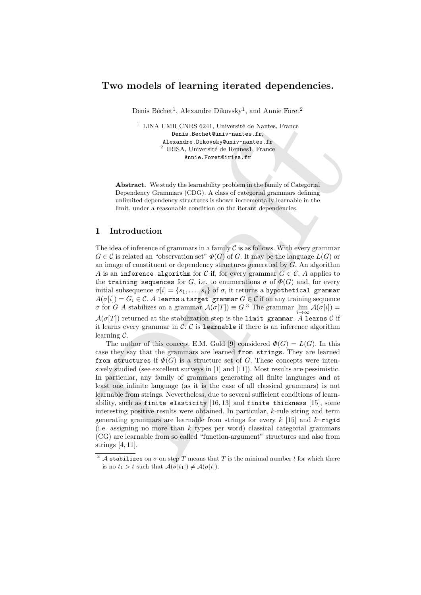# Two models of learning iterated dependencies.

Denis Béchet<sup>1</sup>, Alexandre Dikovsky<sup>1</sup>, and Annie Foret<sup>2</sup>

 $^1$  LINA UMR CNRS 6241, Université de Nantes, France Denis.Bechet@univ-nantes.fr, Alexandre.Dikovsky@univ-nantes.fr <sup>2</sup> IRISA, Université de Rennes1, France Annie.Foret@irisa.fr

Abstract. We study the learnability problem in the family of Categorial Dependency Grammars (CDG). A class of categorial grammars defining unlimited dependency structures is shown incrementally learnable in the limit, under a reasonable condition on the iterant dependencies.

# 1 Introduction

The idea of inference of grammars in a family  $\mathcal C$  is as follows. With every grammar  $G \in \mathcal{C}$  is related an "observation set"  $\Phi(G)$  of G. It may be the language  $L(G)$  or an image of constituent or dependency structures generated by  $G$ . An algorithm A is an inference algorithm for C if, for every grammar  $G \in \mathcal{C}$ , A applies to the training sequences for G, i.e. to enumerations  $\sigma$  of  $\Phi(G)$  and, for every initial subsequence  $\sigma[i] = \{s_1, \ldots, s_i\}$  of  $\sigma$ , it returns a hypothetical grammar  $A(\sigma[i]) = G_i \in \mathcal{C}$ . A learns a target grammar  $G \in \mathcal{C}$  if on any training sequence σ for G A stabilizes on a grammar  $\mathcal{A}(\sigma[T]) \equiv G^{3}$  The grammar lim  $\mathcal{A}(\sigma[i]) =$  $\mathcal{A}(\sigma[T])$  returned at the stabilization step is the limit grammar. A learns C if it learns every grammar in  $\mathcal{C}$ .  $\mathcal{C}$  is **learnable** if there is an inference algorithm learning C.

 $^1$  LINA UMR CNRs 6241, Universide de Nontes, Prance and the main field that the same than the main of the main field in the same of the same of the same of the same of the same of the same of the same of the same of the The author of this concept E.M. Gold [9] considered  $\Phi(G) = L(G)$ . In this case they say that the grammars are learned from strings. They are learned from structures if  $\Phi(G)$  is a structure set of G. These concepts were intensively studied (see excellent surveys in [1] and [11]). Most results are pessimistic. In particular, any family of grammars generating all finite languages and at least one infinite language (as it is the case of all classical grammars) is not learnable from strings. Nevertheless, due to several sufficient conditions of learnability, such as finite elasticity [16, 13] and finite thickness [15], some interesting positive results were obtained. In particular, k-rule string and term generating grammars are learnable from strings for every  $k$  [15] and  $k$ -rigid (i.e. assigning no more than  $k$  types per word) classical categorial grammars (CG) are learnable from so called "function-argument" structures and also from strings [4, 11].

<sup>&</sup>lt;sup>3</sup> A stabilizes on  $\sigma$  on step T means that T is the minimal number t for which there is no  $t_1 > t$  such that  $\mathcal{A}(\sigma[t_1]) \neq \mathcal{A}(\sigma[t])$ .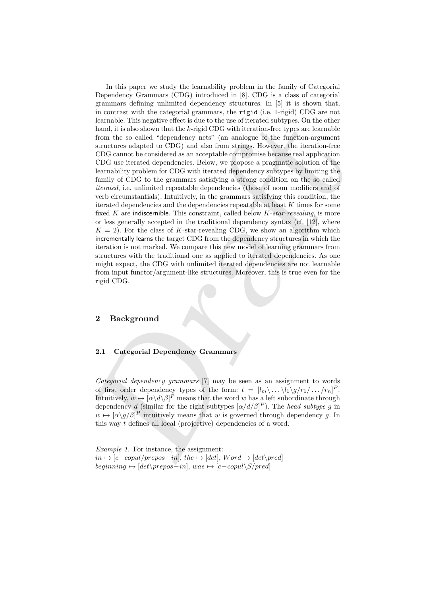icarnals. This negative effect is due to the use of interaction shapes. On the other<br>hand, it is also shown that the k-rigid CDG with iteration-free types are learnable<br>from the so called "dependency rets" (an analogue of In this paper we study the learnability problem in the family of Categorial Dependency Grammars (CDG) introduced in [8]. CDG is a class of categorial grammars defining unlimited dependency structures. In [5] it is shown that, in contrast with the categorial grammars, the rigid (i.e. 1-rigid) CDG are not learnable. This negative effect is due to the use of iterated subtypes. On the other hand, it is also shown that the  $k$ -rigid CDG with iteration-free types are learnable from the so called "dependency nets" (an analogue of the function-argument structures adapted to CDG) and also from strings. However, the iteration-free CDG cannot be considered as an acceptable compromise because real application CDG use iterated dependencies. Below, we propose a pragmatic solution of the learnability problem for CDG with iterated dependency subtypes by limiting the family of CDG to the grammars satisfying a strong condition on the so called iterated, i.e. unlimited repeatable dependencies (those of noun modifiers and of verb circumstantials). Intuitively, in the grammars satisfying this condition, the iterated dependencies and the dependencies repeatable at least K times for some fixed K are indiscernible. This constraint, called below  $K\text{-}star\text{-}revealing$ , is more or less generally accepted in the traditional dependency syntax (cf. [12], where  $K = 2$ ). For the class of K-star-revealing CDG, we show an algorithm which incrementally learns the target CDG from the dependency structures in which the iteration is not marked. We compare this new model of learning grammars from structures with the traditional one as applied to iterated dependencies. As one might expect, the CDG with unlimited iterated dependencies are not learnable from input functor/argument-like structures. Moreover, this is true even for the rigid CDG.

## 2 Background

## 2.1 Categorial Dependency Grammars

Categorial dependency grammars [7] may be seen as an assignment to words of first order dependency types of the form:  $t = [l_m \langle \dots \langle l_1 \rangle g / r_1 / \dots / r_n]^P$ . Intuitively,  $w \mapsto [\alpha \backslash d \backslash \beta]^P$  means that the word w has a left subordinate through dependency d (similar for the right subtypes  $\left[\alpha/d/\beta\right]^P$ ). The head subtype g in  $w \mapsto [\alpha \backslash g/\beta]^P$  intuitively means that w is governed through dependency g. In this way  $t$  defines all local (projective) dependencies of a word.

Example 1. For instance, the assignment:  $in \rightarrow [c-copul/prepos-in],$  the  $\rightarrow [det],$  W ord  $\rightarrow [det\backslash pred]$ beginning  $\mapsto [det\preceq_B]$ , was  $\mapsto [c-copul\setminus S/pred]$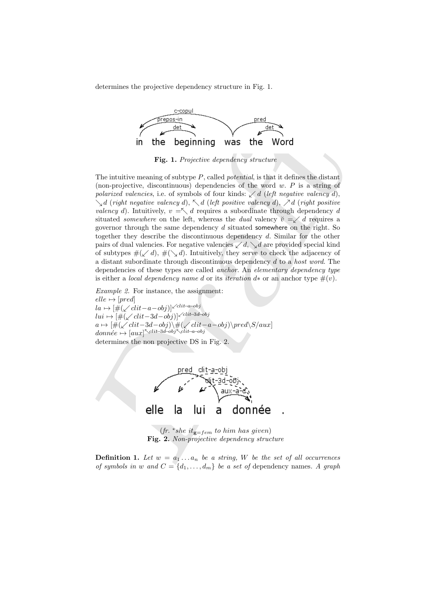determines the projective dependency structure in Fig. 1.



Fig. 1. Projective dependency structure

The intuitive meaning of substitution is the World Fig. 1. Projective dependency structure<br>
The intuitive meaning of subtype P, called potential, is that it defines the distant (non-projective, describining) dependences o The intuitive meaning of subtype  $P$ , called *potential*, is that it defines the distant (non-projective, discontinuous) dependencies of the word  $w$ .  $P$  is a string of polarized valencies, i.e. of symbols of four kinds:  $\angle d$  (left negative valency d),  $\setminus_{\mathcal{A}} d$  (right negative valency d),  $\setminus_{\mathcal{A}} d$  (left positive valency d),  $\setminus_{\mathcal{A}} d$  (right positive *valency d*). Intuitively,  $v = \langle d \rangle$  requires a subordinate through dependency d situated *somewhere* on the left, whereas the *dual* valency  $\check{v} = \check{c}$  d requires a governor through the same dependency  $d$  situated somewhere on the right. So together they describe the discontinuous dependency d. Similar for the other pairs of dual valencies. For negative valencies  $\swarrow d$ ,  $\searrow d$  are provided special kind of subtypes  $\#(\sqrt{d})$ ,  $\#(\sqrt{d})$ . Intuitively, they serve to check the adjacency of a distant subordinate through discontinuous dependency d to a host word. The dependencies of these types are called *anchor*. An *elementary dependency type* is either a *local dependency name d* or its *iteration*  $d*$  or an anchor type  $\#(v)$ .

Example 2. For instance, the assignment:  $elle \mapsto [pred]$  $la \mapsto [\#(\swarrow \text{clit}-a-\text{obj})]^{\swarrow \text{clit}-a-\text{obj}}$ lui  $\mapsto [\#(\swarrow \text{clit}-3d-\text{obj})]^{\swarrow \text{clit}-3d-\text{obj}}$  $a \mapsto [\#(\sqrt{clit-3d-obj})\setminus \#(\sqrt{clit-a-obj})\setminus pred\setminus S/aux]$  $donn\acute{e} \mapsto [aux]^{\nwarrow}$ clit−3d−obj $\nwarrow$ clit−a−obj determines the non projective DS in Fig. 2.



 $(fr. * she it_{g=fem} to him has given)$ Fig. 2. Non-projective dependency structure

**Definition 1.** Let  $w = a_1 \ldots a_n$  be a string, W be the set of all occurrences of symbols in w and  $C = \{d_1, \ldots, d_m\}$  be a set of dependency names. A graph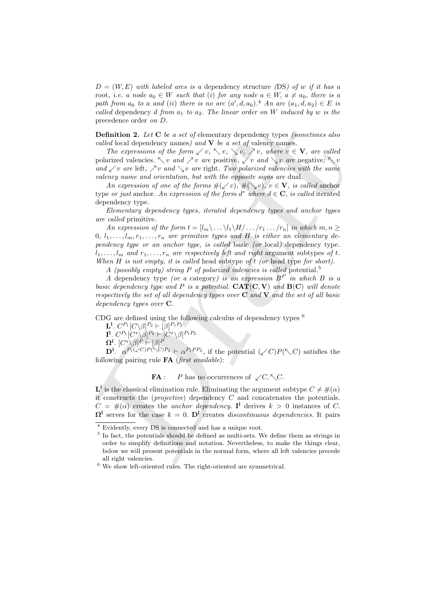$D = (W, E)$  with labeled arcs is a dependency structure (DS) of w if it has a root, i.e. a node  $a_0 \in W$  such that (i) for any node  $a \in W$ ,  $a \neq a_0$ , there is a path from  $a_0$  to a and (ii) there is no arc  $(a', d, a_0)$ .<sup>4</sup> An arc  $(a_1, d, a_2) \in E$  is called dependency d from  $a_1$  to  $a_2$ . The linear order on W induced by w is the precedence order on D.

**Definition 2.** Let  $C$  be a set of elementary dependency types (sometimes also called local dependency names) and  $V$  be a set of valency names.

The expressions of the form  $\swarrow v$ ,  $\searrow v$ ,  $\searrow v$ ,  $\nearrow v$ , where  $v \in \mathbf{V}$ , are called polarized valencies.  $\leq v$  and  $\geq v$  are positive,  $\swarrow v$  and  $\searrow v$  are negative;  $\leq v$ and  $\sqrt{v}$  are left,  $\sqrt{v}$  and  $\sqrt{v}$  are right. Two polarized valencies with the same valency name and orientation, but with the opposite signs are dual.

An expression of one of the forms  $\#(\swarrow v), \#(\searrow v), v \in \mathbf{V}$ , is called anchor type *or just* anchor. An expression of the form  $d^*$  where  $d \in \mathbb{C}$ , is called iterated dependency type.

Elementary dependency types, iterated dependency types and anchor types are called primitive.

precedence order on *D*.<br>
Definition 2. Let C be a set of clumentary dependence types (gometimes also<br>
colled local dependency tames) and V be a set of valency names.<br>
The expressions of the form  $\chi$  c,  $\psi$ , we, we,  $\psi$ An expression of the form  $t = [l_m \backslash ... \backslash l_1 \backslash H / ... /r_1 ... /r_n]$  in which  $m, n \geq$ 0,  $l_1, \ldots, l_m, r_1, \ldots, r_n$  are primitive types and H is either an elementary dependency type or an anchor type, is called basic (or local) dependency type.  $l_1, \ldots, l_m$  and  $r_1, \ldots, r_n$  are respectively left and right argument subtypes of t. When H is not empty, it is called head subtype of  $t$  (or head type for short).

A (possibly empty) string  $P$  of polarized valencies is called potential.<sup>5</sup>

A dependency type (or a category) is an expression  $B^P$  in which B is a basic dependency type and P is a potential.  $CAT(C, V)$  and  $B(C)$  will denote respectively the set of all dependency types over  $C$  and  $V$  and the set of all basic dependency types over C.

CDG are defined using the following calculus of dependency types <sup>6</sup>

 $\mathbf{L}^1.$   $C^{P_1}[C\backslash \beta]^{P_2} \vdash [\beta]^{P_1P_2}$ 

 $\mathbf{I}^{\mathbf{l}}.\ C^{P_1}[C^*\backslash \beta]^{P_2}\vdash [C^*\backslash \beta]^{P_1P_2}$ 

 $\mathbf{\Omega}^{\mathbf{l}}.\; [C^*\backslash \beta]^P\vdash [\beta]^P$ 

 $\mathbf{D}^{\mathbf{l}}$ .  $\alpha^{P_1(\sqrt{C})P(\sqrt{C})P_2} \vdash \alpha^{P_1P_2}$ , if the potential  $(\sqrt{C})P(\sqrt{C})$  satisfies the following pairing rule  $FA$  (first available):

## **FA** : P has no occurrences of  $\swarrow C, \nwarrow C$ .

 $\mathbf{L}^{\mathbf{l}}$  is the classical elimination rule. Eliminating the argument subtype  $C \neq \#(\alpha)$ it constructs the (*projective*) dependency  $C$  and concatenates the potentials.  $C = \#(\alpha)$  creates the anchor dependency. I<sup>1</sup> derives  $k > 0$  instances of C.  $\Omega^1$  serves for the case  $k = 0$ .  $D^1$  creates *discontinuous dependencies*. It pairs

<sup>4</sup> Evidently, every DS is connected and has a unique root.

<sup>&</sup>lt;sup>5</sup> In fact, the potentials should be defined as multi-sets. We define them as strings in order to simplify definitions and notation. Nevertheless, to make the things clear, below we will present potentials in the normal form, where all left valencies precede all right valencies.

 $6$  We show left-oriented rules. The right-oriented are symmetrical.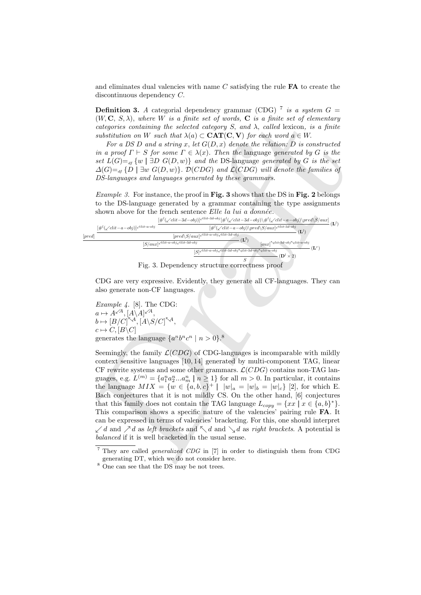and eliminates dual valencies with name  $C$  satisfying the rule  $FA$  to create the discontinuous dependency C.

**Definition 3.** A categorial dependency grammar (CDG)<sup>7</sup> is a system  $G =$  $(W, \mathbf{C}, S, \lambda)$ , where W is a finite set of words, **C** is a finite set of elementary categories containing the selected category S, and  $\lambda$ , called lexicon, is a finite substitution on W such that  $\lambda(a) \subset \text{CAT}(C, V)$  for each word  $a \in W$ .

For a DS D and a string x, let  $G(D, x)$  denote the relation: D is constructed in a proof  $\Gamma \vdash S$  for some  $\Gamma \in \lambda(x)$ . Then the language generated by G is the set  $L(G) =_{df} \{w \mid \exists D \ G(D, w)\}\$ and the DS-language generated by G is the set  $\Delta(G) =_{\text{df}} \{D \mid \exists w \ G(D, w)\}.$   $\mathcal{D}(CDG)$  and  $\mathcal{L}(CDG)$  will denote the families of DS-languages and languages generated by these grammars.

*Example 3.* For instance, the proof in Fig. 3 shows that the DS in Fig. 2 belongs to the DS-language generated by a grammar containing the type assignments shown above for the french sentence  $Elle la lui a *donnée*.$ 



Fig. 3. Dependency structure correctness proof

CDG are very expressive. Evidently, they generate all CF-languages. They can also generate non-CF languages.

Example 4. [8]. The CDG:  $a \mapsto A^{\checkmark A}, [A \backslash A]^{\checkmark A},$  $b \mapsto [B/C]^{\nwarrow A}, [A\backslash S/C]^{\nwarrow A},$  $c \mapsto C$ ,  $[B\setminus C]$ generates the language  $\{a^nb^nc^n \mid n>0\}$ .<sup>8</sup>

(V), C, S, M), where we are planet as of words, C is a funit set of eternedary<br>
contegrates emulating the selected category S, and A, called beitern, is a finite<br>
substitution on W such that  $X(a) \subset \mathbf{C}X^*(C, V)$  for each Seemingly, the family  $\mathcal{L}(CDG)$  of CDG-languages is incomparable with mildly context sensitive languages [10, 14] generated by multi-component TAG, linear CF rewrite systems and some other grammars.  $\mathcal{L}(CDG)$  contains non-TAG languages, e.g.  $L^{(m)} = \{a_1^n a_2^n ... a_m^n \mid n \ge 1\}$  for all  $m > 0$ . In particular, it contains the language  $MIX = \{w \in \{a, b, c\}^+ \mid |w|_a = |w|_b = |w|_c\}$  [2], for which E. Bach conjectures that it is not mildly CS. On the other hand, [6] conjectures that this family does not contain the TAG language  $L_{copy} = \{xx \mid x \in \{a, b\}^*\}.$ This comparison shows a specific nature of the valencies' pairing rule FA. It can be expressed in terms of valencies' bracketing. For this, one should interpret  $\sqrt{d}$  and  $\sqrt{d}$  as left brackets and  $\sqrt{d}$  and  $\sqrt{d}$  as right brackets. A potential is balanced if it is well bracketed in the usual sense.

<sup>&</sup>lt;sup>7</sup> They are called *generalized CDG* in [7] in order to distinguish them from CDG generating DT, which we do not consider here.

<sup>&</sup>lt;sup>8</sup> One can see that the DS may be not trees.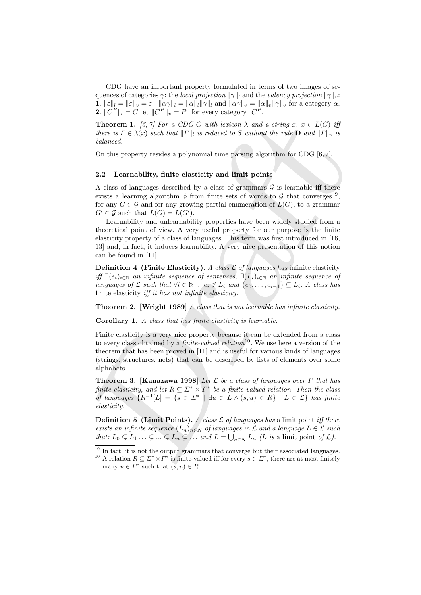CDG have an important property formulated in terms of two images of sequences of categories  $\gamma$ : the *local projection*  $\|\gamma\|_l$  and the valency projection  $\|\gamma\|_v$ : 1.  $\|\varepsilon\|_l = \|\varepsilon\|_v = \varepsilon$ ;  $\|\alpha\gamma\|_l = \|\alpha\|_l \|\gamma\|_l$  and  $\|\alpha\gamma\|_v = \|\alpha\|_v \|\gamma\|_v$  for a category  $\alpha$ . **2.**  $||C^P||_l = C$  et  $||C^P||_v = P$  for every category  $C^P$ .

**Theorem 1.** [6, 7] For a CDG G with lexicon  $\lambda$  and a string  $x, x \in L(G)$  iff there is  $\Gamma \in \lambda(x)$  such that  $||\Gamma||_l$  is reduced to S without the rule  $\mathbf{D}$  and  $||\Gamma||_v$  is balanced.

On this property resides a polynomial time parsing algorithm for CDG [6, 7].

## 2.2 Learnability, finite elasticity and limit points

A class of languages described by a class of grammars  $\mathcal G$  is learnable iff there exists a learning algorithm  $\phi$  from finite sets of words to G that converges <sup>9</sup>, for any  $G \in \mathcal{G}$  and for any growing partial enumeration of  $L(G)$ , to a grammar  $G' \in \mathcal{G}$  such that  $L(G) = L(G')$ .

**Theorem 1.** (6. 7) For a CDG G mill, lexiton  $\lambda$  and a string  $x, x \in L(G)$  iff there is  $\Gamma \in \mathbb{R} \setminus \{x\}$  such that  $||\Gamma||_1$  is reduced to S without the rule **D** and  $||\Gamma||_1$  is behaved. The straige described by a chir Learnability and unlearnability properties have been widely studied from a theoretical point of view. A very useful property for our purpose is the finite elasticity property of a class of languages. This term was first introduced in [16, 13] and, in fact, it induces learnability. A very nice presentation of this notion can be found in [11].

**Definition 4 (Finite Elasticity).** A class  $\mathcal L$  of languages has infinite elasticity iff  $\exists (e_i)_{i\in\mathbb{N}}$  an infinite sequence of sentences,  $\exists (L_i)_{i\in\mathbb{N}}$  an infinite sequence of languages of  $\mathcal L$  such that  $\forall i \in \mathbb N : e_i \notin L_i$  and  $\{e_0, \ldots, e_{i-1}\} \subseteq L_i$ . A class has finite elasticity iff it has not infinite elasticity.

Theorem 2. [Wright 1989] A class that is not learnable has infinite elasticity.

Corollary 1. A class that has finite elasticity is learnable.

Finite elasticity is a very nice property because it can be extended from a class to every class obtained by a *finite-valued relation*<sup>10</sup>. We use here a version of the theorem that has been proved in [11] and is useful for various kinds of languages (strings, structures, nets) that can be described by lists of elements over some alphabets.

**Theorem 3.** [Kanazawa 1998] Let L be a class of languages over  $\Gamma$  that has finite elasticity, and let  $R \subseteq \Sigma^* \times \Gamma^*$  be a finite-valued relation. Then the class of languages  $\{R^{-1}[L] = \{s \in \Sigma^* \mid \exists u \in L \wedge (s, u) \in R\} \mid L \in \mathcal{L}\}\$  has finite elasticity.

**Definition 5 (Limit Points).** A class  $\mathcal{L}$  of languages has a limit point iff there exists an infinite sequence  $(L_n)_{n\in\mathbb{N}}$  of languages in  $\mathcal L$  and a language  $L\in\mathcal L$  such that:  $L_0 \subsetneq L_1 \ldots \subsetneq \ldots \subsetneq L_n \subsetneq \ldots$  and  $L = \bigcup_{n \in N} L_n$  (L is a limit point of  $\mathcal{L}$ ).

<sup>&</sup>lt;sup>9</sup> In fact, it is not the output grammars that converge but their associated languages.

<sup>&</sup>lt;sup>10</sup> A relation  $R \subseteq \Sigma^* \times \Gamma^*$  is finite-valued iff for every  $s \in \Sigma^*$ , there are at most finitely many  $u \in \overline{\Gamma^*}$  such that  $(s, u) \in R$ .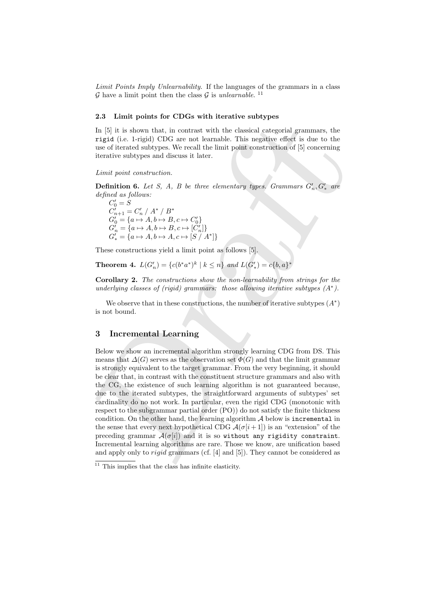Limit Points Imply Unlearnability. If the languages of the grammars in a class G have a limit point then the class G is unlearnable.<sup>11</sup>

#### 2.3 Limit points for CDGs with iterative subtypes

In [5] it is shown that, in contrast with the classical categorial grammars, the rigid (i.e. 1-rigid) CDG are not learnable. This negative effect is due to the use of iterated subtypes. We recall the limit point construction of [5] concerning iterative subtypes and discuss it later.

Limit point construction.

**Definition 6.** Let S, A, B be three elementary types. Grammars  $G'_n, G'_*$  are defined as follows:

 $C'_0 = S$  $C'_{n+1} = C'_{n} / A^{*} / B^{*}$  $G'_0 = \{a \mapsto A, b \mapsto B, c \mapsto C'_0\}$  $G'_n = \{a \mapsto A, b \mapsto B, c \mapsto [C'_n]\}$  $G'_{*} = \{a \mapsto A, b \mapsto A, c \mapsto [S \, / \, A^{*}]\}$ 

These constructions yield a limit point as follows [5].

**Theorem 4.**  $L(G'_n) = \{c(b^*a^*)^k \mid k \leq n\}$  and  $L(G'_*) = c\{b, a\}^*$ 

Corollary 2. The constructions show the non-learnability from strings for the underlying classes of (rigid) grammars: those allowing iterative subtypes  $(A^*)$ .

We observe that in these constructions, the number of iterative subtypes  $(A^*)$ is not bound.

## 3 Incremental Learning

En [5] it is shown that, in constraint with the classical categorial grammars, the<br>
rigid (i.e. t-rigid) CDG are not learnable. This regardive effect is due to the<br>
rigid (i.e. t-rigid) CDG are not learnable. This regardi Below we show an incremental algorithm strongly learning CDG from DS. This means that  $\Delta(G)$  serves as the observation set  $\Phi(G)$  and that the limit grammar is strongly equivalent to the target grammar. From the very beginning, it should be clear that, in contrast with the constituent structure grammars and also with the CG, the existence of such learning algorithm is not guaranteed because, due to the iterated subtypes, the straightforward arguments of subtypes' set cardinality do no not work. In particular, even the rigid CDG (monotonic with respect to the subgrammar partial order (PO)) do not satisfy the finite thickness condition. On the other hand, the learning algorithm  $A$  below is incremental in the sense that every next hypothetical CDG  $\mathcal{A}(\sigma[i+1])$  is an "extension" of the preceding grammar  $\mathcal{A}(\sigma[i])$  and it is so without any rigidity constraint. Incremental learning algorithms are rare. Those we know, are unification based and apply only to rigid grammars (cf. [4] and [5]). They cannot be considered as

 $11$  This implies that the class has infinite elasticity.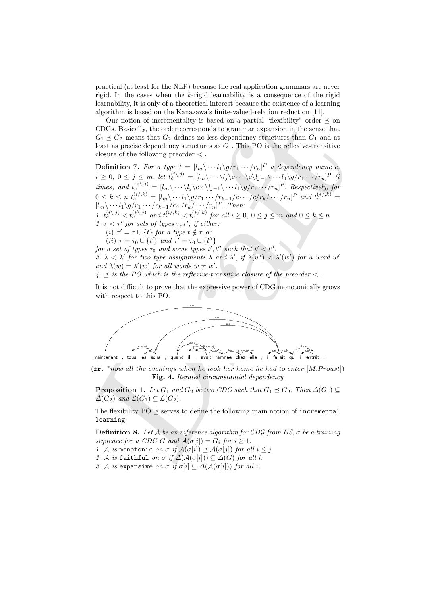practical (at least for the NLP) because the real application grammars are never rigid. In the cases when the  $k$ -rigid learnability is a consequence of the rigid learnability, it is only of a theoretical interest because the existence of a learning algorithm is based on the Kanazawa's finite-valued-relation reduction [11].

Our notion of incrementality is based on a partial "flexibility" order  $\preceq$  on CDGs. Basically, the order corresponds to grammar expansion in the sense that  $G_1 \preceq G_2$  means that  $G_2$  defines no less dependency structures than  $G_1$  and at least as precise dependency structures as  $G_1$ . This PO is the reflexive-transitive closure of the following preorder  $\lt$ .

Our notion of incrementality is based on a partial "lexibility" oder  $\leq$  on a partial "lexibility" oder  $\leq$  on means that  $G_1 \leq G_2$  means that  $G_2$  is the effective function of  $\int$  of  $G_1 \leq G_2$  means that  $G_2$  **Definition 7.** For a type  $t = [l_m \backslash \cdots l_1 \backslash g / r_1 \cdots / r_n]^P$  a dependency name c,  $i \geq 0, 0 \leq j \leq m$ , let  $t_c^{(i\backslash, j)} = [l_m \backslash \cdots \backslash l_j \backslash c \cdots \backslash c \backslash l_{j-1} \backslash \cdots l_1 \backslash g/r_1 \cdots/r_n]^P$  (i times) and  $t_c^{(*\backslash j)} = [l_m \backslash \cdots \backslash l_j \backslash c * \backslash l_{j-1} \backslash \cdots l_1 \backslash g/r_1 \cdots/r_n]^P$ . Respectively, for  $0 \leq k \leq n \ t_{c}^{(i_1,k)} = [l_m \backslash \cdots l_1 \backslash g / r_1 \cdots / r_{k-1} / c \cdots / c / r_k / \cdots / r_n]^P$  and  $t_{c}^{(*/,k)} =$  $[l_m\backslash \cdots l_1\backslash g/r_1\cdots/r_{k-1}/c*/r_k/\cdots/r_n]^P$ . Then: 1.  $t_c^{(i\setminus j)} < t_c^{(*\setminus j)}$  and  $t_c^{(i\setminus k)} < t_c^{(*\setminus k)}$  for all  $i \geq 0, 0 \leq j \leq m$  and  $0 \leq k \leq n$ 2.  $\tau < \tau'$  for sets of types  $\tau, \tau'$ , if either:

(i)  $\tau' = \tau \cup \{t\}$  for a type  $t \notin \tau$  or

(*ii*)  $\tau = \tau_0 \cup \{t'\}$  and  $\tau' = \tau_0 \cup \{t''\}$ 

for a set of types  $\tau_0$  and some types  $t', t''$  such that  $t' < t''$ . 3.  $\lambda < \lambda'$  for two type assignments  $\lambda$  and  $\lambda'$ , if  $\lambda(w') < \lambda'(w')$  for a word w' and  $\lambda(w) = \lambda'(w)$  for all words  $w \neq w'$ .

 $4. \preceq$  is the PO which is the reflexive-transitive closure of the preorder  $\lt$ .

It is not difficult to prove that the expressive power of CDG monotonically grows with respect to this PO.



 $(\text{fr. *now all the evenings when he took her home he had to enter } [M. Proust] )$ Fig. 4. Iterated circumstantial dependency

**Proposition 1.** Let  $G_1$  and  $G_2$  be two CDG such that  $G_1 \preceq G_2$ . Then  $\Delta(G_1) \subseteq$  $\Delta(G_2)$  and  $\mathcal{L}(G_1) \subset \mathcal{L}(G_2)$ .

The flexibility  $PO \le$  serves to define the following main notion of incremental learning.

**Definition 8.** Let A be an inference algorithm for CDG from DS,  $\sigma$  be a training sequence for a CDG G and  $A(\sigma[i]) = G_i$  for  $i \geq 1$ .

1. A is monotonic on  $\sigma$  if  $\mathcal{A}(\sigma[i]) \preceq \mathcal{A}(\sigma[j])$  for all  $i \leq j$ .

2. A is faithful on  $\sigma$  if  $\Delta(\mathcal{A}(\sigma[i])) \subseteq \Delta(G)$  for all i.

3. A is expansive on  $\sigma$  if  $\sigma[i] \subset \Delta(\mathcal{A}(\sigma[i]))$  for all i.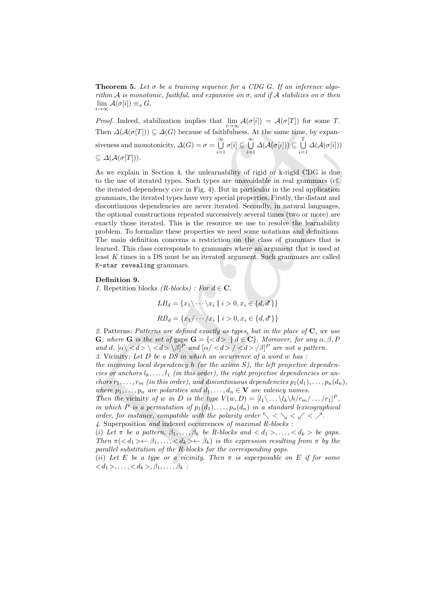**Theorem 5.** Let  $\sigma$  be a training sequence for a CDG G. If an inference algorithm A is monotonic, faithful, and expansive on  $\sigma$ , and if A stabilizes on  $\sigma$  then  $\lim_{i\to\infty} \mathcal{A}(\sigma[i]) \equiv_s G.$ 

*Proof.* Indeed, stabilization implies that  $\lim_{\alpha \to 0} \mathcal{A}(\sigma[i]) = \mathcal{A}(\sigma[T])$  for some T. Then  $\Delta(\mathcal{A}(\sigma[T])) \subseteq \Delta(G)$  because of faithfulness. At the same time, by expansiveness and monotonicity,  $\Delta(G) = \sigma = \bigcup_{n=0}^{\infty}$  $i=1$  $\sigma[i] \subseteq \overset{\infty}{\bigcup}$  $i=1$  $\varDelta(\mathcal{A}(\sigma[i]))\subseteq\bigcup^{T}% \varphi_{\sigma}(\sigma[i])\bigcap\varphi_{\sigma}(\sigma[i])$  $i=1$  $\varDelta(\mathcal{A}(\sigma[i]))$  $\subset \Delta(\mathcal{A}(\sigma[T]))$ .

*Proof.* Indeed, stabilization implies that him  $A(\sigma[i]) = A(\sigma[T])$  for some 7.<br>Then  $\Delta(A(\sigma[T])) \subseteq \Delta(G)$  because of finithness At the sum time, by even-<br>Then  $\Delta(A(\sigma[T])) \subseteq \Delta(G)$  because of finithness At the sum time, by even-<br>siveness As we explain in Section 4, the unlearnability of rigid or k-rigid CDG is due to the use of iterated types. Such types are unavoidable in real grammars (cf. the iterated dependency circ in Fig. 4). But in particular in the real application grammars, the iterated types have very special properties. Firstly, the distant and discontinuous dependencies are never iterated. Secondly, in natural languages, the optional constructions repeated successively several times (two or more) are exactly those iterated. This is the resource we use to resolve the learnability problem. To formalize these properties we need some notations and definitions. The main definition concerns a restriction on the class of grammars that is learned. This class corresponds to grammars where an argument that is used at least  $K$  times in a DS must be an iterated argument. Such grammars are called K-star revealing grammars.

#### Definition 9.

1. Repetition blocks (R-blocks) : For  $d \in \mathbf{C}$ ,

$$
LB_d = \{x_1 \backslash \cdots \backslash x_i \mid i > 0, x_i \in \{d, d^*\}\}
$$

$$
RB_d = \{x_1 / \cdots / x_i \mid i > 0, x_i \in \{d, d^*\}\}
$$

2. Patterns: Patterns are defined exactly as types, but in the place of  $C$ , we use **G**, where **G** is the set of gaps  $G = \{ \langle d \rangle | d \in C \}$ . Moreover, for any  $\alpha, \beta, P$ and d,  $[\alpha \mid d \leq d \mid d \leq \beta]^P$  and  $[\alpha \mid d \mid d \mid d \mid d \mid q$  are not a pattern. 3. Vicinity: Let D be a DS in which an occurrence of a word w has : the incoming local dependency  $h$  (or the axiom  $S$ ), the left projective dependencies or anchors  $l_k, \ldots, l_1$  (in this order), the right projective dependencies or anchors  $r_1, \ldots, r_m$  (in this order), and discontinuous dependencies  $p_1(d_1), \ldots, p_n(d_n)$ , where  $p_1, \ldots, p_n$  are polarities and  $d_1, \ldots, d_n \in V$  are valency names. Then the vicinity of w in D is the type  $V(w, D) = [l_1 \backslash ... \backslash l_k \backslash h/r_m / ... /r_1]^P$ , in which P is a permutation of  $p_1(d_1), \ldots, p_n(d_n)$  in a standard lexicographical order, for instance, compatible with the polarity order  $\nwarrow$   $\lt \searrow$   $\lt \lt \nearrow$ . 4. Superposition and indexed occurrences of maximal R-blocks :

(i) Let  $\pi$  be a pattern,  $\beta_1, \ldots, \beta_k$  be R-blocks and  $\langle d_1 \rangle, \ldots, \langle d_k \rangle$  be gaps. Then  $\pi \langle \langle d_1 \rangle \langle \beta_1, \ldots, \langle d_k \rangle \langle \beta_k \rangle$  is the expression resulting from  $\pi$  by the parallel substitution of the R-blocks for the corresponding gaps.

(ii) Let E be a type or a vicinity. Then  $\pi$  is superposable on E if for some  $\langle d_1 \rangle, \ldots, \langle d_k \rangle, \beta_1, \ldots, \beta_k$ :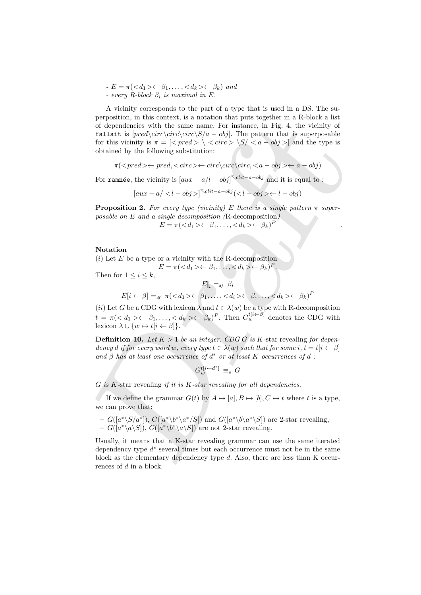$-E = \pi(\langle d_1 \rangle \langle \beta_1, \ldots, \langle d_k \rangle \langle \beta_k \rangle)$  and  $-$  every R-block  $\beta_i$  is maximal in E.

proposition in this tomack, is a honeston that proton in a trunca sum that is predict is profiled that the same manner Dr instance, in Fig. 4, the instanting of far latter is proposable by the following substitution:<br>
for A vicinity corresponds to the part of a type that is used in a DS. The superposition, in this context, is a notation that puts together in a R-block a list of dependencies with the same name. For instance, in Fig. 4, the vicinity of fallait is  $[pred\circ\circ\circ\S/a - obj]$ . The pattern that is superposable for this vicinity is  $\pi = \{ \langle pred \rangle \setminus \langle circ \rangle \setminus \langle S \rangle \langle a - obj \rangle \}$  and the type is obtained by the following substitution:

$$
\pi(< pred>\leftarrow pred, < circ \leftarrow circ \cdot \leftarrow circ \cdot \leftarrow circ \cdot < a - obj \leftarrow a - obj)
$$

For ramnée, the vicinity is  $[aux - a/l - obj]^{k}$ clit<sup>-a-obj</sup> and it is equal to :

 $[aux - a / ]^{∞clit - a - obj}$ (<l − obj> $\leftarrow$ l − obj)

**Proposition 2.** For every type (vicinity) E there is a single pattern  $\pi$  superposable on E and a single decomposition (R-decomposition)  $E = \pi \left( \langle d_1 \rangle + \beta_1, \ldots, \langle d_k \rangle + \beta_k \right)^P$  $P$  .

#### Notation

 $(i)$  Let  $E$  be a type or a vicinity with the R-decomposition  $E = \pi \left( \langle d_1 \rangle \leftarrow \beta_1, \ldots, \langle d_k \rangle \leftarrow \beta_k \right)^p.$ 

Then for  $1 \leq i \leq k$ ,

$$
E|_{i} =_{df} \beta_{i}
$$
  

$$
E[i \leftarrow \beta] =_{df} \pi(\langle d_1 \rangle \leftarrow \beta_1, \dots, \langle d_i \rangle \leftarrow \beta, \dots, \langle d_k \rangle \leftarrow \beta_k)^P
$$

(ii) Let G be a CDG with lexicon  $\lambda$  and  $t \in \lambda(w)$  be a type with R-decomposition  $t = \pi \left( \langle d_1 \rangle \leftarrow \beta_1, \ldots, \langle d_k \rangle \leftarrow \beta_k)^P$ . Then  $G_w^{t[i \leftarrow \beta]}$  denotes the CDG with lexicon  $\lambda \cup \{w \mapsto t[i \leftarrow \beta]\}.$ 

**Definition 10.** Let  $K > 1$  be an integer. CDG G is K-star revealing for dependency d if for every word w, every type  $t \in \lambda(w)$  such that for some  $i, t = t[i \leftarrow \beta]$ and  $\beta$  has at least one occurrence of  $d^*$  or at least K occurrences of  $d$  :

$$
G_w^{t[i \leftarrow d^*]} \, \equiv_s \, G
$$

 $G$  is  $K$ -star revealing if it is  $K$ -star revealing for all dependencies.

If we define the grammar  $G(t)$  by  $A \mapsto [a], B \mapsto [b], C \mapsto t$  where t is a type, we can prove that:

- 
$$
G([a^*\S/a^*])
$$
,  $G([a^*\b^*\a^*/S])$  and  $G([a^*\b^*\a^*\S])$  are 2-star revealing,  
-  $G([a^*\a\S])$ ,  $G([a^*\b^*\a\S])$  are not 2-star revealing.

Usually, it means that a K-star revealing grammar can use the same iterated dependency type  $d^*$  several times but each occurrence must not be in the same block as the elementary dependency type  $d$ . Also, there are less than K occurrences of d in a block.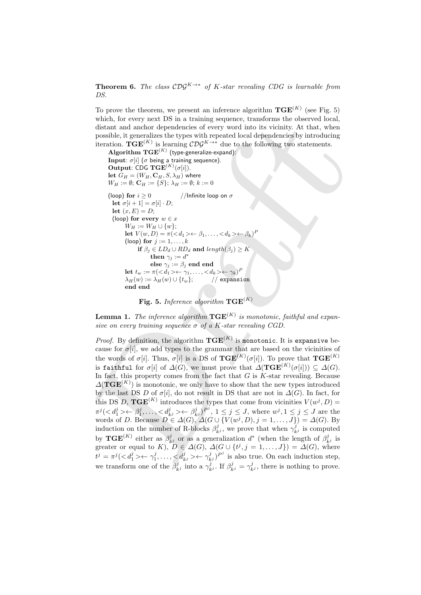**Theorem 6.** The class  $CDG^{K\to*}$  of K-star revealing CDG is learnable from D<sub>S</sub>.

To prove the theorem, we present an inference algorithm  $TGE^{(K)}$  (see Fig. 5) which, for every next DS in a training sequence, transforms the observed local, distant and anchor dependencies of every word into its vicinity. At that, when possible, it generalizes the types with repeated local dependencies by introducing iteration.  $\textbf{TGE}^{(K)}$  is learning  $\mathcal{CDG}^{K\to\ast}$  due to the following two statements.

```
{\bf Algorithm ~TGE}^{(K)} (type-generalize-expand):
Input: \sigma[i] (\sigma being a training sequence).
Output: CDG TGE<sup>(K)</sup>(\sigma[i]).
let G_H = (W_H, \mathbf{C}_H, S, \lambda_H) where
W_H := \emptyset; \mathbf{C}_H := \{S\}; \lambda_H := \emptyset; k := 0(loop) for i > 0 //Infinite loop on \sigmalet \sigma[i+1] = \sigma[i] \cdot D;let (x, E) = D;
  (loop) for every w \in xW_H := W_H \cup \{w\};let V(w, D) = \pi \left( \langle d_1 \rangle \langle \beta_1, \ldots, \langle d_k \rangle \langle \beta_k \rangle \right)^p(loop) for j := 1, \ldots, kif \beta_j \in LD_d \cup RD_d and length(\beta_j) \geq Kthen \gamma_j := d^*else \gamma_j := \beta_j end end
         \mathbf{let}\,\, t_w := \pi(<\!d_1\!>\leftarrow\gamma_1,\ldots,<\!d_k\!>\leftarrow\gamma_k)^F\lambda_H(w) := \lambda_H(w) \cup \{t_w\}; \hspace{1cm} // \textrm{ expansion}end end
```
Fig. 5. Inference algorithm  $\mathbf{TGE}^{(K)}$ 

**Lemma 1.** The inference algorithm  $TGE^{(K)}$  is monotonic, faithful and expansive on every training sequence  $\sigma$  of a K-star revealing CGD.

wheth, the twary metally and transmissionlate the series<br>that and anchor dependencies of every word into its vicinity. At that, when<br>possible, it generalizes the types with reported local dependencies of<br>the full-matrix o *Proof.* By definition, the algorithm  $\mathbf{TGE}^{(K)}$  is monotonic. It is expansive because for  $\sigma[i]$ , we add types to the grammar that are based on the vicinities of the words of  $\sigma[i]$ . Thus,  $\sigma[i]$  is a DS of  $\mathbf{TGE}^{(K)}(\sigma[i])$ . To prove that  $\mathbf{TGE}^{(K)}$ is faithful for  $\sigma[i]$  of  $\Delta(G)$ , we must prove that  $\Delta(\mathbf{TGE}^{(K)}(\sigma[i])) \subseteq \Delta(G)$ . In fact, this property comes from the fact that  $G$  is  $K$ -star revealing. Because  $\Delta(\mathbf{TGE}^{(K)})$  is monotonic, we only have to show that the new types introduced by the last DS D of  $\sigma[i]$ , do not result in DS that are not in  $\Delta(G)$ . In fact, for this DS D,  $\mathbf{TGE}^{(K)}$  introduces the types that come from vicinities  $V(w^j, D)$  =  $\pi^j(< d_1^j> \leftarrow \beta_1^j, \ldots,  \leftarrow \beta_{kj}^j)^{P^j}, 1 \leq j \leq J$ , where  $w^j, 1 \leq j \leq J$  are the words of D. Because  $D \in \Delta(G)$ ,  $\Delta(G \cup \{V(w^j, D), j = 1, ..., J\}) = \Delta(G)$ . By induction on the number of R-blocks  $\beta_{kj}^j$ , we prove that when  $\gamma_{kj}^j$  is computed by  $\textbf{TGE}^{(K)}$  either as  $\beta_{kj}^j$  or as a generalization  $d^*$  (when the length of  $\beta_{kj}^j$  is greater or equal to K),  $D \in \Delta(G)$ ,  $\Delta(G \cup \{t^j, j = 1, ..., J\}) = \Delta(G)$ , where  $t^j = \pi^j ( < d_1^j > \leftarrow \gamma_1^j, \ldots, < d_{kj}^j > \leftarrow \gamma_{kj}^j)^{P^j}$  is also true. On each induction step, we transform one of the  $\beta_{kj}^j$  into a  $\gamma_{kj}^j$ . If  $\beta_{kj}^j = \gamma_{kj}^j$ , there is nothing to prove.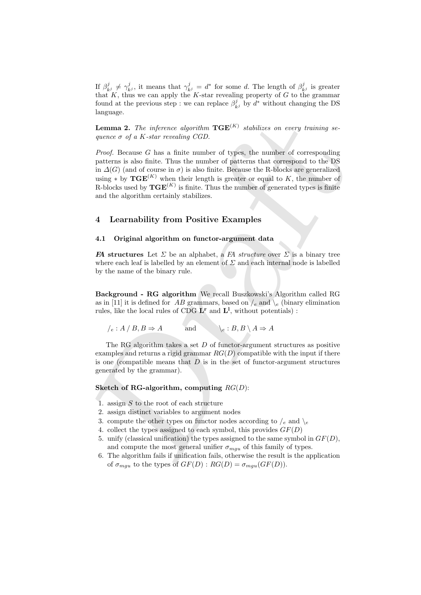If  $\beta_{k}^j \neq \gamma_{k}^j$ , it means that  $\gamma_{k}^j = d^*$  for some d. The length of  $\beta_{k}^j$  is greater that  $K$ , thus we can apply the  $K$ -star revealing property of  $G$  to the grammar found at the previous step : we can replace  $\beta_{kj}^j$  by  $d^*$  without changing the DS language.

**Lemma 2.** The inference algorithm  $TGE^{(K)}$  stabilizes on every training sequence  $\sigma$  of a K-star revealing CGD.

Lemma 2. The inference algorithm TGE( $^{K}$ ) stabilizes on every training sequence  $\sigma$  of a K-star revealing CGD.<br>
Parolic Because 2 of a K-star revealing CGD.<br>
paroles a finite number of pasterns that corresponding<br>
part Proof. Because G has a finite number of types, the number of corresponding patterns is also finite. Thus the number of patterns that correspond to the DS in  $\Delta(G)$  (and of course in  $\sigma$ ) is also finite. Because the R-blocks are generalized using \* by  $TGE^{(K)}$  when their length is greater or equal to K, the number of R-blocks used by  $\mathbf{TGE}^{(K)}$  is finite. Thus the number of generated types is finite and the algorithm certainly stabilizes.

## 4 Learnability from Positive Examples

#### 4.1 Original algorithm on functor-argument data

**FA** structures Let  $\Sigma$  be an alphabet, a FA structure over  $\Sigma$  is a binary tree where each leaf is labelled by an element of  $\Sigma$  and each internal node is labelled by the name of the binary rule.

Background - RG algorithm We recall Buszkowski's Algorithm called RG as in [11] it is defined for AB grammars, based on  $\ell_e$  and  $\leq_e$  (binary elimination rules, like the local rules of CDG  $\mathbf{L}^{\mathbf{r}}$  and  $\mathbf{L}^{1}$ , without potentials) :

$$
/e: A \mid B, B \Rightarrow A \qquad \text{and} \qquad \downarrow_e: B, B \setminus A \Rightarrow A
$$

The RG algorithm takes a set D of functor-argument structures as positive examples and returns a rigid grammar  $RG(D)$  compatible with the input if there is one (compatible means that  $D$  is in the set of functor-argument structures generated by the grammar).

#### Sketch of RG-algorithm, computing  $RG(D)$ :

- 1. assign  $S$  to the root of each structure
- 2. assign distinct variables to argument nodes
- 3. compute the other types on functor nodes according to  $/e$  and  $\leq$
- 4. collect the types assigned to each symbol, this provides  $GF(D)$
- 5. unify (classical unification) the types assigned to the same symbol in  $GF(D)$ , and compute the most general unifier  $\sigma_{mqu}$  of this family of types.
- 6. The algorithm fails if unification fails, otherwise the result is the application of  $\sigma_{mgu}$  to the types of  $GF(D)$  :  $RG(D) = \sigma_{mgu}(GF(D)).$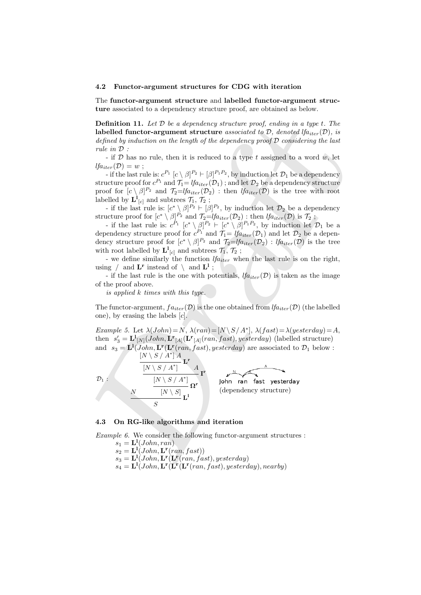#### 4.2 Functor-argument structures for CDG with iteration

The functor-argument structure and labelled functor-argument structure associated to a dependency structure proof, are obtained as below.

**Definition 11.** Let  $D$  be a dependency structure proof, ending in a type t. The **labelled functor-argument structure** associated to  $\mathcal{D}$ , denoted lfa<sub>iter</sub>( $\mathcal{D}$ ), is defined by induction on the length of the dependency proof D considering the last rule in D :

- if  $D$  has no rule, then it is reduced to a type t assigned to a word  $w$ , let  $lfa_{iter}(\mathcal{D}) = w;$ 

- if the last rule is:  $c^{P_1} [c \setminus \beta]^{P_2} \vdash [\beta]^{P_1 P_2}$ , by induction let  $\mathcal{D}_1$  be a dependency structure proof for  $c^{P_1}$  and  $\mathcal{T}_1=$   $lfa_{iter}(\mathcal{D}_1)$  ; and let  $\mathcal{D}_2$  be a dependency structure proof for  $[c \setminus \beta]^{P_2}$  and  $\mathcal{T}_2=lfa_{iter}(\mathcal{D}_2)$ : then  $lfa_{iter}(\mathcal{D})$  is the tree with root labelled by  $\mathbf{L}^1_{[c]}$  and subtrees  $\mathcal{T}_1, \mathcal{T}_2$ ;

- if the last rule is:  $[c^* \setminus \beta]^{P_2} \vdash [\beta]^{P_2}$ , by induction let  $\mathcal{D}_2$  be a dependency structure proof for  $[c^* \setminus \beta]^{P_2}$  and  $\mathcal{T}_2=$   $lfa_{iter}(\mathcal{D}_2)$ : then  $lfa_{iter}(\mathcal{D})$  is  $\mathcal{T}_2$ ;

- if the last rule is:  $c^{P_1} [c^* \setminus \beta]^{P_2} \vdash [c^* \setminus \beta]^{P_1 P_2}$ , by induction let  $\mathcal{D}_1$  be a dependency structure proof for  $c^{P_1}$  and  $\mathcal{T}_1 = \text{If}_{a_{iter}}(\mathcal{D}_1)$  and let  $\mathcal{D}_2$  be a dependency structure proof for  $[c^* \setminus \beta]^{P_2}$  and  $\mathcal{T}_2=$   $lfa_{iter}(\mathcal{D}_2)$  :  $lfa_{iter}(\mathcal{D})$  is the tree with root labelled by  $\mathbf{L}^1_{[c]}$  and subtrees  $\mathcal{T}_1, \mathcal{T}_2$ ;

- we define similarly the function  $lfa_{iter}$  when the last rule is on the right, using  $\pi$  and  $\mathbf{L}^{\mathbf{r}}$  instead of  $\pi$  and  $\mathbf{L}^{\mathbf{l}}$ ;

- if the last rule is the one with potentials,  $lfa_{iter}(\mathcal{D})$  is taken as the image of the proof above.

is applied k times with this type.

The functor-argument,  $fa_{iter}(\mathcal{D})$  is the one obtained from  $lfa_{iter}(\mathcal{D})$  (the labelled one), by erasing the labels  $[c]$ .

Example 5. Let  $\lambda(John) = N$ ,  $\lambda(ran) = [N \setminus S / A^*]$ ,  $\lambda(fast) = \lambda(yesterday) = A$ , then  $s'_3 = \mathbf{L}^1_{[N]}(John, \mathbf{L}^r_{[A]}(ran, fast), yesterday)$  (labelled structure) and  $s_3 = \mathbf{L}^{\mathbf{l}}(John, \mathbf{L}^{\mathbf{r}}(ran, fast), yesterday)$  are associated to  $\mathcal{D}_1$  below :

Definition 11. Int $D$  be a dependancy structure proof), ending its applied. The finite of the difference of the difference of the difference of the difference of the difference of the state of the difference of the differ  $\mathcal{D}_1$ : N  $\frac{[N\setminus S\,/\,A^*]\,A}{\mathbf{L}^{\mathbf{r}}}$  $\frac{[N\setminus S\,/\,A^*]}{A}$   $\mathbf{I}^{\mathbf{r}}$  $\frac{[N\setminus S\,/\,A^*]}{\Omega^*}$  $\frac{[N\setminus S]}{\blacksquare} \mathbf{L^l}$ S John ran fast yesterday<br>(dependency structure)

## 4.3 On RG-like algorithms and iteration

Example 6. We consider the following functor-argument structures :  $s_1 = \mathbf{L}^{\mathbf{l}}(John, ran)$ 

 $s_2 = \mathbf{L}^{\mathbf{l}}(John, \mathbf{L}^{\mathbf{r}}(ran, fast))$ 

 $s_3 = \mathbf{L}^{\mathbf{l}}(John, \mathbf{L}^{\mathbf{r}}(\mathbf{L}^{\mathbf{r}}(ran, fast), yesterday))$ 

 $s_4 = \mathbf{L}^1(John, \mathbf{L}^r(\mathbf{L}^r(ran, fast), yesterday), nearby)$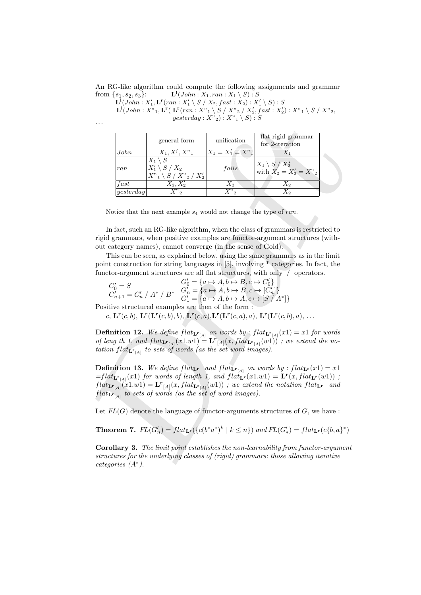An RG-like algorithm could compute the following assignments and grammar from  $\{s_1, s_2, s_3\}$ :  $\frac{1}{1}(John : X_1, ran : X_1 \setminus S) : S$ 

 $\mathbf{L}^1(John:X'_1,\mathbf{L^r} (ran : X'_1 \setminus S \, / \, X_2, fast : X_2) : X'_1 \setminus S) : S$  ${\bf L}^1(John : X"_{1}, {\bf L^r}({\bf L^r}(ran : X"_{1} \setminus S \, / \, X"_{2} \, / \, X'_{2}, fast : X'_{2}) : X"_{1} \setminus S \, / \, X"_{2},$  $y \in \text{S}$   $\{X''_2\}$  :  $X''_1 \setminus S$  : S

| .                                                                                                                                                                                                                                                                                                                                                                                                                                                                                                                                                                                                                                                                                                              |                              |                                                                                                          | yesteraay: $\Lambda_{2}$ ): $\Lambda_{1}$ \ $\sigma$ ): $\sigma$ |                                                                                                                                                                                                                                                                                                                                                                                                                                                                                                                                                                                              |  |
|----------------------------------------------------------------------------------------------------------------------------------------------------------------------------------------------------------------------------------------------------------------------------------------------------------------------------------------------------------------------------------------------------------------------------------------------------------------------------------------------------------------------------------------------------------------------------------------------------------------------------------------------------------------------------------------------------------------|------------------------------|----------------------------------------------------------------------------------------------------------|------------------------------------------------------------------|----------------------------------------------------------------------------------------------------------------------------------------------------------------------------------------------------------------------------------------------------------------------------------------------------------------------------------------------------------------------------------------------------------------------------------------------------------------------------------------------------------------------------------------------------------------------------------------------|--|
|                                                                                                                                                                                                                                                                                                                                                                                                                                                                                                                                                                                                                                                                                                                |                              | general form                                                                                             | unification                                                      | flat rigid grammar<br>for 2-iteration                                                                                                                                                                                                                                                                                                                                                                                                                                                                                                                                                        |  |
|                                                                                                                                                                                                                                                                                                                                                                                                                                                                                                                                                                                                                                                                                                                | John                         | $X_1, X'_1, X''_1$                                                                                       | $X_1 = X'_1 = X''_1$                                             | $X_1$                                                                                                                                                                                                                                                                                                                                                                                                                                                                                                                                                                                        |  |
|                                                                                                                                                                                                                                                                                                                                                                                                                                                                                                                                                                                                                                                                                                                | $_{ran}$                     | $\overline{X_1 \setminus S}$<br>$X'_1 \setminus S / X_2$<br>$X_{1}^{v} \setminus S / X_{2}^{v} / X_{2}'$ | fails                                                            | $X_1 \setminus S / X_2^*$<br>with $X_2 = X'_2 = X''_2$                                                                                                                                                                                                                                                                                                                                                                                                                                                                                                                                       |  |
|                                                                                                                                                                                                                                                                                                                                                                                                                                                                                                                                                                                                                                                                                                                | fast                         | $X_2, X_2'$                                                                                              | $\overline{X_2}$                                                 | $X_2$                                                                                                                                                                                                                                                                                                                                                                                                                                                                                                                                                                                        |  |
|                                                                                                                                                                                                                                                                                                                                                                                                                                                                                                                                                                                                                                                                                                                | $y \neq \n{seterday}$        | $\overline{X"_2}$                                                                                        | $\overline{X"_{2}}$                                              | $X_2$                                                                                                                                                                                                                                                                                                                                                                                                                                                                                                                                                                                        |  |
| In fact, such an RG-like algorithm, when the class of grammars is restricted to<br>rigid grammars, when positive examples are functor-argument structures (with-<br>out category names), cannot converge (in the sense of Gold).<br>This can be seen, as explained below, using the same grammars as in the limit<br>point construction for string languages in [5], involving * categories. In fact, the                                                                                                                                                                                                                                                                                                      |                              |                                                                                                          |                                                                  |                                                                                                                                                                                                                                                                                                                                                                                                                                                                                                                                                                                              |  |
| functor-argument structures are all flat structures, with only / operators.<br>$G'_0 = \{a \mapsto A, b \mapsto B, c \mapsto C'_0\}$<br>$\begin{array}{l} C_0'=S\\ C_{n+1}'=C_n'\ /\ A^*\ /\ B^* \quad \begin{array}{l} \stackrel{\cup}{G_n'}=\{a\mapsto A,b\mapsto B,c\mapsto [\stackrel{\small C_n'}{S}]\} \\ G_*'=\{a\mapsto A,b\mapsto A,c\mapsto [S\ /\ A^*]\} \end{array} \end{array}$<br>Positive structured examples are then of the form:<br>c, $\mathbf{L}^{\mathbf{r}}(c,b)$ , $\mathbf{L}^{\mathbf{r}}(\mathbf{L}^{\mathbf{r}}(c,b),b)$ , $\mathbf{L}^{\mathbf{r}}(c,a)$ , $\mathbf{L}^{\mathbf{r}}(\mathbf{L}^{\mathbf{r}}(c,a),a)$ , $\mathbf{L}^{\mathbf{r}}(\mathbf{L}^{\mathbf{r}}(c,b),a)$ , |                              |                                                                                                          |                                                                  |                                                                                                                                                                                                                                                                                                                                                                                                                                                                                                                                                                                              |  |
| <b>Definition 12.</b> We define $flat_{\mathbf{L}^{\mathbf{r}}[A]}$ on words by : $flat_{\mathbf{L}^{\mathbf{r}}[A]}(x1) = x1$ for words<br>of leng th 1, and $flat_{\mathbf{L}^{\mathbf{r}}[A]}(x1.w1) = \mathbf{L}^{\mathbf{r}}[A](x, flat_{\mathbf{L}^{\mathbf{r}}[A]}(w1))$ ; we extend the no-<br>tation $flat_{\mathbf{L}^{\mathbf{r}}[A]}$ to sets of words (as the set word images).                                                                                                                                                                                                                                                                                                                   |                              |                                                                                                          |                                                                  |                                                                                                                                                                                                                                                                                                                                                                                                                                                                                                                                                                                              |  |
|                                                                                                                                                                                                                                                                                                                                                                                                                                                                                                                                                                                                                                                                                                                |                              |                                                                                                          |                                                                  | <b>Definition 13.</b> We define $flat_{\mathbf{L}^r}$ and $flat_{\mathbf{L}^r_{[A]}}$ on words by : $flat_{\mathbf{L}^r}(x_1) = x_1$<br>$= flat_{\mathbf{L}^{\mathbf{r}}[A]}(x1)$ for words of length 1, and $flat_{\mathbf{L}^{\mathbf{r}}}(x1.w1) = \mathbf{L}^{\mathbf{r}}(x, flat_{\mathbf{L}^{\mathbf{r}}}(w1))$ ;<br>$flat_{\mathbf{L}^{\mathbf{r}}[A]}(x1.w1) = \mathbf{L}^{\mathbf{r}}[A](x, flat_{\mathbf{L}^{\mathbf{r}}[A]}(w1))$ ; we extend the notation $flat_{\mathbf{L}^{\mathbf{r}}}$ and $flat_{\mathbf{L}^{\mathbf{r}}[A]}$ to sets of words (as the set of word images). |  |
|                                                                                                                                                                                                                                                                                                                                                                                                                                                                                                                                                                                                                                                                                                                |                              |                                                                                                          |                                                                  | Let $FL(G)$ denote the language of functor-arguments structures of $G$ , we have :<br><b>Theorem 7.</b> $FL(G'_n) = flat_{\mathbf{L}^r}(\{c(b^*a^*)^k \mid k \leq n\})$ and $FL(G'_*) = flat_{\mathbf{L}^r}(c\{b,a\}^*)$                                                                                                                                                                                                                                                                                                                                                                     |  |
|                                                                                                                                                                                                                                                                                                                                                                                                                                                                                                                                                                                                                                                                                                                | categories (A <sup>*</sup> ) |                                                                                                          |                                                                  | <b>Corollary 3.</b> The limit point establishes the non-learnability from functor-argument<br>structures for the underlying classes of (rigid) grammars: those allowing iterative                                                                                                                                                                                                                                                                                                                                                                                                            |  |

$$
C'_0 = S
$$
  
\n
$$
C'_0 = \{a \mapsto A, b \mapsto B, c \mapsto C'_0\}
$$
  
\n
$$
C'_{n+1} = C'_n / A^* / B^* \quad G'_n = \{a \mapsto A, b \mapsto B, c \mapsto [C'_n]\}
$$
  
\n
$$
G'_* = \{a \mapsto A, b \mapsto A, c \mapsto [S / A^*]\}
$$

Corollary 3. The limit point establishes the non-learnability from functor-argument structures for the underlying classes of (rigid) grammars: those allowing iterative categories (A<sup>∗</sup> ).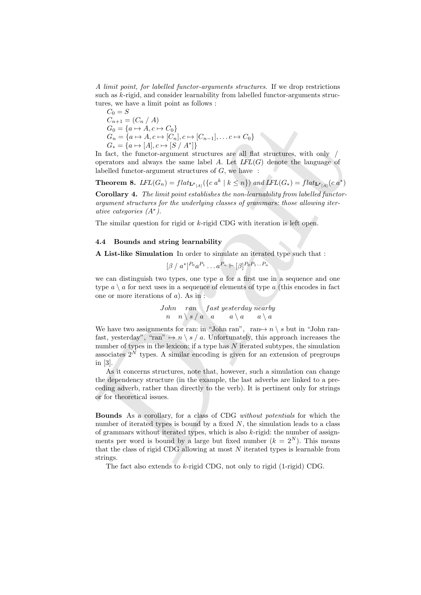A limit point, for labelled functor-arguments structures. If we drop restrictions such as k-rigid, and consider learnability from labelled functor-arguments structures, we have a limit point as follows :

 $C_0 = S$  $C_{n+1} = (C_n / A)$  $G_0 = \{a \mapsto A, c \mapsto C_0\}$  $G_n = \{a \mapsto A, c \mapsto [C_n], c \mapsto [C_{n-1}], \ldots c \mapsto C_0\}$  $G_* = \{a \mapsto [A], c \mapsto [S / A^*]\}$ 

In fact, the functor-argument structures are all flat structures, with only / operators and always the same label A. Let  $LFL(G)$  denote the language of labelled functor-argument structures of  $G$ , we have :

**Theorem 8.** 
$$
LFL(G_n) = flat_{\mathbf{L}^r[A]}(\{c \ a^k \mid k \leq n\})
$$
 and  $LFL(G_*) = flat_{\mathbf{L}^r[A]}(c \ a^*)$ 

Corollary 4. The limit point establishes the non-learnability from labelled functorargument structures for the underlying classes of grammars: those allowing iterative categories (A<sup>∗</sup> ).

The similar question for rigid or k-rigid CDG with iteration is left open.

## 4.4 Bounds and string learnability

A List-like Simulation In order to simulate an iterated type such that :

$$
[\beta \mid a^*]^{P_0} a^{P_1} \dots a^{P_n} \vdash [\beta]^{P_0 P_1 \dots P_n}
$$

we can distinguish two types, one type  $\alpha$  for a first use in a sequence and one type  $a \setminus a$  for next uses in a sequence of elements of type a (this encodes in fact one or more iterations of a). As in :

$$
\begin{array}{ccc}\nJohn & ran & fast \, yesterday \, nearby \\
n & n \setminus s / a & a & a \setminus a \\
\end{array}
$$

We have two assignments for ran: in "John ran", ran $\mapsto n \setminus s$  but in "John ranfast, yesterday", "ran"  $\mapsto n \setminus s / a$ . Unfortunately, this approach increases the number of types in the lexicon: if a type has  $N$  iterated subtypes, the simulation associates  $2^N$  types. A similar encoding is given for an extension of pregroups in [3].

As it concerns structures, note that, however, such a simulation can change the dependency structure (in the example, the last adverbs are linked to a preceding adverb, rather than directly to the verb). It is pertinent only for strings or for theoretical issues.

 $C_{n+1} = (C_0/A)$ <br>  $C_0 = \{a \mapsto A, c \mapsto C_0\}$ <br>  $G_0 = \{a \mapsto A, c \mapsto (C_0), c \mapsto (C_{n-1}), \ldots c \mapsto C_0\}$ <br>  $C_1 = \{a \mapsto \{A, c \mapsto (C_0), c \mapsto (C_{n-1}), \ldots c \mapsto C_0\}$ <br>  $C_1 = \{a \mapsto \{A\}, c \mapsto (C_0), c \mapsto (C_{n-1}), \ldots c \mapsto C_0\}$ <br>
The fact, the function-argumen Bounds As a corollary, for a class of CDG without potentials for which the number of iterated types is bound by a fixed  $N$ , the simulation leads to a class of grammars without iterated types, which is also  $k$ -rigid: the number of assignments per word is bound by a large but fixed number  $(k = 2<sup>N</sup>)$ . This means that the class of rigid CDG allowing at most  $N$  iterated types is learnable from strings.

The fact also extends to k-rigid CDG, not only to rigid (1-rigid) CDG.